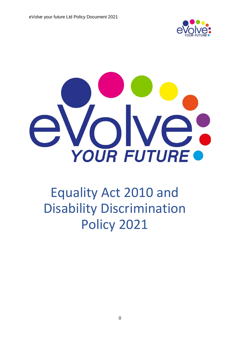



# Equality Act 2010 and Disability Discrimination Policy 2021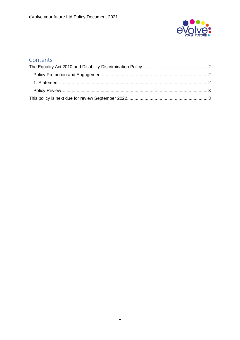

### **Contents**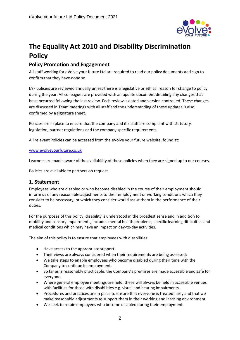

## <span id="page-2-0"></span>**The Equality Act 2010 and Disability Discrimination Policy**

#### <span id="page-2-1"></span>**Policy Promotion and Engagement**

All staff working for eVolve your future Ltd are required to read our policy documents and sign to confirm that they have done so.

EYF policies are reviewed annually unless there is a legislative or ethical reason for change to policy during the year. All colleagues are provided with an update document detailing any changes that have occurred following the last review. Each review is dated and version controlled. These changes are discussed in Team meetings with all staff and the understanding of these updates is also confirmed by a signature sheet.

Policies are in place to ensure that the company and it's staff are compliant with statutory legislation, partner regulations and the company specific requirements.

All relevant Policies can be accessed from the eVolve your future website, found at:

#### [www.evolveyourfuture.co.uk](http://www.evolveyourfuture.co.uk/)

Learners are made aware of the availability of these policies when they are signed up to our courses.

Policies are available to partners on request.

#### <span id="page-2-2"></span>**1. Statement**

Employees who are disabled or who become disabled in the course of their employment should inform us of any reasonable adjustments to their employment or working conditions which they consider to be necessary, or which they consider would assist them in the performance of their duties.

For the purposes of this policy, disability is understood in the broadest sense and in addition to mobility and sensory impairments, includes mental health problems, specific learning difficulties and medical conditions which may have an impact on day-to-day activities.

The aim of this policy is to ensure that employees with disabilities:

- Have access to the appropriate support.
- Their views are always considered when their requirements are being assessed;
- We take steps to enable employees who become disabled during their time with the Company to continue in employment.
- So far as is reasonably practicable, the Company's premises are made accessible and safe for everyone.
- Where general employee meetings are held, these will always be held in accessible venues with facilities for those with disabilities e.g. visual and hearing impairments.
- Procedures and practices are in place to ensure that everyone is treated fairly and that we make reasonable adjustments to support them in their working and learning environment.
- We seek to retain employees who become disabled during their employment.